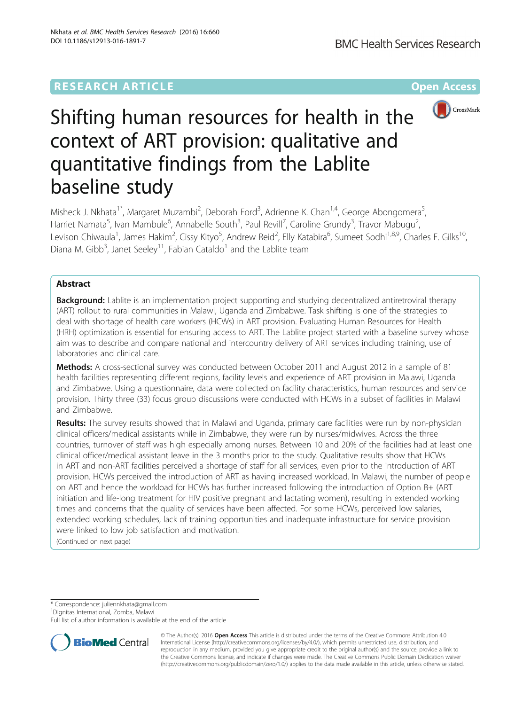## **RESEARCH ARTICLE Example 2014 12:30 The Community Community Community Community Community Community Community**



# Shifting human resources for health in the context of ART provision: qualitative and quantitative findings from the Lablite baseline study

Misheck J. Nkhata<sup>1\*</sup>, Margaret Muzambi<sup>2</sup>, Deborah Ford<sup>3</sup>, Adrienne K. Chan<sup>1,4</sup>, George Abongomera<sup>5</sup> , Harriet Namata<sup>5</sup>, Ivan Mambule<sup>6</sup>, Annabelle South<sup>3</sup>, Paul Revill<sup>7</sup>, Caroline Grundy<sup>3</sup>, Travor Mabugu<sup>2</sup> .<br>, Levison Chiwaula<sup>1</sup>, James Hakim<sup>2</sup>, Cissy Kityo<sup>5</sup>, Andrew Reid<sup>2</sup>, Elly Katabira<sup>6</sup>, Sumeet Sodhi<sup>1,8,9</sup>, Charles F. Gilks<sup>10</sup>, Diana M. Gibb<sup>3</sup>, Janet Seeley<sup>11</sup>, Fabian Cataldo<sup>1</sup> and the Lablite team

## Abstract

**Background:** Lablite is an implementation project supporting and studying decentralized antiretroviral therapy (ART) rollout to rural communities in Malawi, Uganda and Zimbabwe. Task shifting is one of the strategies to deal with shortage of health care workers (HCWs) in ART provision. Evaluating Human Resources for Health (HRH) optimization is essential for ensuring access to ART. The Lablite project started with a baseline survey whose aim was to describe and compare national and intercountry delivery of ART services including training, use of laboratories and clinical care.

Methods: A cross-sectional survey was conducted between October 2011 and August 2012 in a sample of 81 health facilities representing different regions, facility levels and experience of ART provision in Malawi, Uganda and Zimbabwe. Using a questionnaire, data were collected on facility characteristics, human resources and service provision. Thirty three (33) focus group discussions were conducted with HCWs in a subset of facilities in Malawi and Zimbabwe.

Results: The survey results showed that in Malawi and Uganda, primary care facilities were run by non-physician clinical officers/medical assistants while in Zimbabwe, they were run by nurses/midwives. Across the three countries, turnover of staff was high especially among nurses. Between 10 and 20% of the facilities had at least one clinical officer/medical assistant leave in the 3 months prior to the study. Qualitative results show that HCWs in ART and non-ART facilities perceived a shortage of staff for all services, even prior to the introduction of ART provision. HCWs perceived the introduction of ART as having increased workload. In Malawi, the number of people on ART and hence the workload for HCWs has further increased following the introduction of Option B+ (ART initiation and life-long treatment for HIV positive pregnant and lactating women), resulting in extended working times and concerns that the quality of services have been affected. For some HCWs, perceived low salaries, extended working schedules, lack of training opportunities and inadequate infrastructure for service provision were linked to low job satisfaction and motivation. (Continued on next page)

\* Correspondence: [juliennkhata@gmail.com](mailto:juliennkhata@gmail.com) <sup>1</sup>

Dignitas International, Zomba, Malawi

Full list of author information is available at the end of the article



© The Author(s). 2016 Open Access This article is distributed under the terms of the Creative Commons Attribution 4.0 International License [\(http://creativecommons.org/licenses/by/4.0/](http://creativecommons.org/licenses/by/4.0/)), which permits unrestricted use, distribution, and reproduction in any medium, provided you give appropriate credit to the original author(s) and the source, provide a link to the Creative Commons license, and indicate if changes were made. The Creative Commons Public Domain Dedication waiver [\(http://creativecommons.org/publicdomain/zero/1.0/](http://creativecommons.org/publicdomain/zero/1.0/)) applies to the data made available in this article, unless otherwise stated.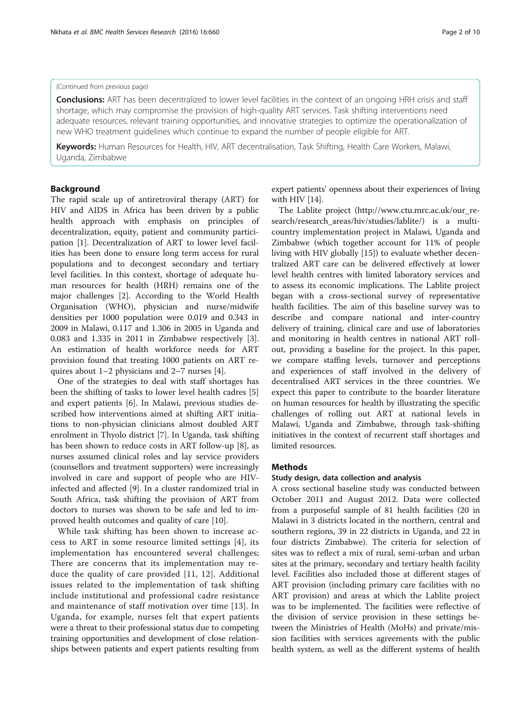## (Continued from previous page)

Conclusions: ART has been decentralized to lower level facilities in the context of an ongoing HRH crisis and staff shortage, which may compromise the provision of high-quality ART services. Task shifting interventions need adequate resources, relevant training opportunities, and innovative strategies to optimize the operationalization of new WHO treatment guidelines which continue to expand the number of people eligible for ART.

Keywords: Human Resources for Health, HIV, ART decentralisation, Task Shifting, Health Care Workers, Malawi, Uganda, Zimbabwe

## Background

The rapid scale up of antiretroviral therapy (ART) for HIV and AIDS in Africa has been driven by a public health approach with emphasis on principles of decentralization, equity, patient and community participation [[1](#page-9-0)]. Decentralization of ART to lower level facilities has been done to ensure long term access for rural populations and to decongest secondary and tertiary level facilities. In this context, shortage of adequate human resources for health (HRH) remains one of the major challenges [\[2](#page-9-0)]. According to the World Health Organisation (WHO), physician and nurse/midwife densities per 1000 population were 0.019 and 0.343 in 2009 in Malawi, 0.117 and 1.306 in 2005 in Uganda and 0.083 and 1.335 in 2011 in Zimbabwe respectively [\[3](#page-9-0)]. An estimation of health workforce needs for ART provision found that treating 1000 patients on ART requires about 1–2 physicians and 2–7 nurses [\[4](#page-9-0)].

One of the strategies to deal with staff shortages has been the shifting of tasks to lower level health cadres [\[5](#page-9-0)] and expert patients [\[6](#page-9-0)]. In Malawi, previous studies described how interventions aimed at shifting ART initiations to non-physician clinicians almost doubled ART enrolment in Thyolo district [\[7](#page-9-0)]. In Uganda, task shifting has been shown to reduce costs in ART follow-up [[8\]](#page-9-0), as nurses assumed clinical roles and lay service providers (counsellors and treatment supporters) were increasingly involved in care and support of people who are HIVinfected and affected [[9](#page-9-0)]. In a cluster randomized trial in South Africa, task shifting the provision of ART from doctors to nurses was shown to be safe and led to improved health outcomes and quality of care [[10\]](#page-9-0).

While task shifting has been shown to increase access to ART in some resource limited settings [[4\]](#page-9-0), its implementation has encountered several challenges; There are concerns that its implementation may reduce the quality of care provided [\[11, 12](#page-9-0)]. Additional issues related to the implementation of task shifting include institutional and professional cadre resistance and maintenance of staff motivation over time [[13\]](#page-9-0). In Uganda, for example, nurses felt that expert patients were a threat to their professional status due to competing training opportunities and development of close relationships between patients and expert patients resulting from expert patients' openness about their experiences of living with HIV [\[14\]](#page-9-0).

The Lablite project [\(http://www.ctu.mrc.ac.uk/our\\_re](http://www.ctu.mrc.ac.uk/our_research/research_areas/hiv/studies/lablite/)[search/research\\_areas/hiv/studies/lablite/](http://www.ctu.mrc.ac.uk/our_research/research_areas/hiv/studies/lablite/)) is a multicountry implementation project in Malawi, Uganda and Zimbabwe (which together account for 11% of people living with HIV globally [\[15](#page-9-0)]) to evaluate whether decentralized ART care can be delivered effectively at lower level health centres with limited laboratory services and to assess its economic implications. The Lablite project began with a cross-sectional survey of representative health facilities. The aim of this baseline survey was to describe and compare national and inter-country delivery of training, clinical care and use of laboratories and monitoring in health centres in national ART rollout, providing a baseline for the project. In this paper, we compare staffing levels, turnover and perceptions and experiences of staff involved in the delivery of decentralised ART services in the three countries. We expect this paper to contribute to the boarder literature on human resources for health by illustrating the specific challenges of rolling out ART at national levels in Malawi, Uganda and Zimbabwe, through task-shifting initiatives in the context of recurrent staff shortages and limited resources.

## Methods

## Study design, data collection and analysis

A cross sectional baseline study was conducted between October 2011 and August 2012. Data were collected from a purposeful sample of 81 health facilities (20 in Malawi in 3 districts located in the northern, central and southern regions, 39 in 22 districts in Uganda, and 22 in four districts Zimbabwe). The criteria for selection of sites was to reflect a mix of rural, semi-urban and urban sites at the primary, secondary and tertiary health facility level. Facilities also included those at different stages of ART provision (including primary care facilities with no ART provision) and areas at which the Lablite project was to be implemented. The facilities were reflective of the division of service provision in these settings between the Ministries of Health (MoHs) and private/mission facilities with services agreements with the public health system, as well as the different systems of health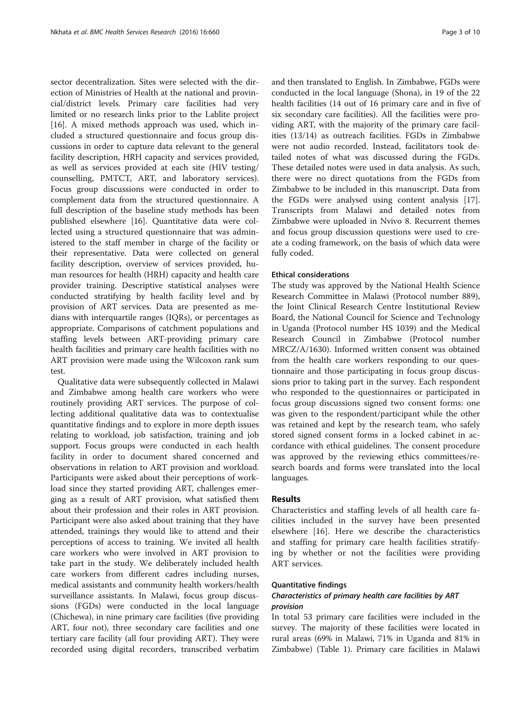sector decentralization. Sites were selected with the direction of Ministries of Health at the national and provincial/district levels. Primary care facilities had very limited or no research links prior to the Lablite project [[16\]](#page-9-0). A mixed methods approach was used, which included a structured questionnaire and focus group discussions in order to capture data relevant to the general facility description, HRH capacity and services provided, as well as services provided at each site (HIV testing/ counselling, PMTCT, ART, and laboratory services). Focus group discussions were conducted in order to complement data from the structured questionnaire. A full description of the baseline study methods has been published elsewhere [\[16](#page-9-0)]. Quantitative data were collected using a structured questionnaire that was administered to the staff member in charge of the facility or their representative. Data were collected on general facility description, overview of services provided, human resources for health (HRH) capacity and health care provider training. Descriptive statistical analyses were conducted stratifying by health facility level and by provision of ART services. Data are presented as medians with interquartile ranges (IQRs), or percentages as appropriate. Comparisons of catchment populations and staffing levels between ART-providing primary care health facilities and primary care health facilities with no ART provision were made using the Wilcoxon rank sum test.

Qualitative data were subsequently collected in Malawi and Zimbabwe among health care workers who were routinely providing ART services. The purpose of collecting additional qualitative data was to contextualise quantitative findings and to explore in more depth issues relating to workload, job satisfaction, training and job support. Focus groups were conducted in each health facility in order to document shared concerned and observations in relation to ART provision and workload. Participants were asked about their perceptions of workload since they started providing ART, challenges emerging as a result of ART provision, what satisfied them about their profession and their roles in ART provision. Participant were also asked about training that they have attended, trainings they would like to attend and their perceptions of access to training. We invited all health care workers who were involved in ART provision to take part in the study. We deliberately included health care workers from different cadres including nurses, medical assistants and community health workers/health surveillance assistants. In Malawi, focus group discussions (FGDs) were conducted in the local language (Chichewa), in nine primary care facilities (five providing ART, four not), three secondary care facilities and one tertiary care facility (all four providing ART). They were recorded using digital recorders, transcribed verbatim and then translated to English. In Zimbabwe, FGDs were conducted in the local language (Shona), in 19 of the 22 health facilities (14 out of 16 primary care and in five of six secondary care facilities). All the facilities were providing ART, with the majority of the primary care facilities (13/14) as outreach facilities. FGDs in Zimbabwe were not audio recorded. Instead, facilitators took detailed notes of what was discussed during the FGDs. These detailed notes were used in data analysis. As such, there were no direct quotations from the FGDs from Zimbabwe to be included in this manuscript. Data from the FGDs were analysed using content analysis [\[17](#page-9-0)]. Transcripts from Malawi and detailed notes from Zimbabwe were uploaded in Nvivo 8. Recurrent themes and focus group discussion questions were used to create a coding framework, on the basis of which data were fully coded.

## Ethical considerations

The study was approved by the National Health Science Research Committee in Malawi (Protocol number 889), the Joint Clinical Research Centre Institutional Review Board, the National Council for Science and Technology in Uganda (Protocol number HS 1039) and the Medical Research Council in Zimbabwe (Protocol number MRCZ/A/1630). Informed written consent was obtained from the health care workers responding to our questionnaire and those participating in focus group discussions prior to taking part in the survey. Each respondent who responded to the questionnaires or participated in focus group discussions signed two consent forms: one was given to the respondent/participant while the other was retained and kept by the research team, who safely stored signed consent forms in a locked cabinet in accordance with ethical guidelines. The consent procedure was approved by the reviewing ethics committees/research boards and forms were translated into the local languages.

## Results

Characteristics and staffing levels of all health care facilities included in the survey have been presented elsewhere [[16\]](#page-9-0). Here we describe the characteristics and staffing for primary care health facilities stratifying by whether or not the facilities were providing ART services.

## Quantitative findings

## Characteristics of primary health care facilities by ART provision

In total 53 primary care facilities were included in the survey. The majority of these facilities were located in rural areas (69% in Malawi, 71% in Uganda and 81% in Zimbabwe) (Table [1](#page-3-0)). Primary care facilities in Malawi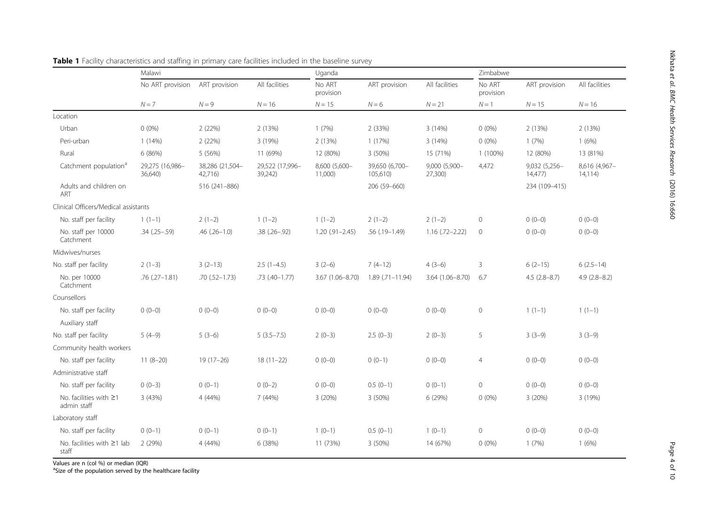|                                             | Malawi                     |                            |                            | Uganda                   |                            |                          | Zimbabwe            |                         |                          |
|---------------------------------------------|----------------------------|----------------------------|----------------------------|--------------------------|----------------------------|--------------------------|---------------------|-------------------------|--------------------------|
|                                             | No ART provision           | ART provision              | All facilities             | No ART<br>provision      | ART provision              | All facilities           | No ART<br>provision | ART provision           | All facilities           |
|                                             | $N=7$                      | $N = 9$                    | $N = 16$                   | $N = 15$                 | $N = 6$                    | $N = 21$                 | $N=1$               | $N = 15$                | $N = 16$                 |
| Location                                    |                            |                            |                            |                          |                            |                          |                     |                         |                          |
| Urban                                       | $0(0\%)$                   | 2 (22%)                    | 2(13%)                     | 1(7%)                    | 2 (33%)                    | 3(14%)                   | $0(0\%)$            | 2(13%)                  | 2(13%)                   |
| Peri-urban                                  | 1(14%)                     | 2(22%)                     | 3 (19%)                    | 2 (13%)                  | 1(17%)                     | 3(14%)                   | $0(0\%)$            | 1(7%)                   | 1(6%)                    |
| Rural                                       | 6(86%)                     | 5 (56%)                    | 11 (69%)                   | 12 (80%)                 | 3 (50%)                    | 15 (71%)                 | 1 (100%)            | 12 (80%)                | 13 (81%)                 |
| Catchment population <sup>a</sup>           | 29,275 (16,986-<br>36,640) | 38,286 (21,504-<br>42,716) | 29,522 (17,996-<br>39,242) | 8,600 (5,600-<br>11,000) | 39,650 (6,700-<br>105,610) | 9,000 (5,900-<br>27,300) | 4,472               | 9,032 (5,256-<br>14,477 | 8,616 (4,967-<br>14,114) |
| Adults and children on<br>ART               |                            | 516 (241-886)              |                            |                          | 206 (59-660)               |                          |                     | 234 (109-415)           |                          |
| Clinical Officers/Medical assistants        |                            |                            |                            |                          |                            |                          |                     |                         |                          |
| No. staff per facility                      | $1(1-1)$                   | $2(1-2)$                   | $1(1-2)$                   | $1(1-2)$                 | $2(1-2)$                   | $2(1-2)$                 | $\mathbf{0}$        | $0(0-0)$                | $0(0-0)$                 |
| No. staff per 10000<br>Catchment            | $.34$ $(.25-.59)$          | $.46(.26-1.0)$             | $.38(.26-.92)$             | $1.20$ (.91-2.45)        | $.56(.19-1.49)$            | $1.16$ (.72-2.22)        | $\overline{0}$      | $0(0-0)$                | $0(0-0)$                 |
| Midwives/nurses                             |                            |                            |                            |                          |                            |                          |                     |                         |                          |
| No. staff per facility                      | $2(1-3)$                   | $3(2-13)$                  | $2.5(1-4.5)$               | $3(2-6)$                 | $7(4-12)$                  | $4(3-6)$                 | 3                   | $6(2-15)$               | $6(2.5-14)$              |
| No. per 10000<br>Catchment                  | $.76$ $(.27-1.81)$         | $.70(.52 - 1.73)$          | $.73$ $(.40-1.77)$         | 3.67 (1.06-8.70)         | $1.89$ $(.71 - 11.94)$     | $3.64(1.06 - 8.70)$      | 6.7                 | $4.5(2.8 - 8.7)$        | $4.9(2.8 - 8.2)$         |
| Counsellors                                 |                            |                            |                            |                          |                            |                          |                     |                         |                          |
| No. staff per facility                      | $0(0-0)$                   | $0(0-0)$                   | $0(0-0)$                   | $0(0-0)$                 | $0(0-0)$                   | $0(0-0)$                 | $\circ$             | $1(1-1)$                | $1(1-1)$                 |
| Auxiliary staff                             |                            |                            |                            |                          |                            |                          |                     |                         |                          |
| No. staff per facility                      | $5(4-9)$                   | $5(3-6)$                   | $5(3.5 - 7.5)$             | $2(0-3)$                 | $2.5(0-3)$                 | $2(0-3)$                 | 5                   | $3(3-9)$                | $3(3-9)$                 |
| Community health workers                    |                            |                            |                            |                          |                            |                          |                     |                         |                          |
| No. staff per facility                      | $11(8-20)$                 | $19(17-26)$                | $18(11-22)$                | $0(0-0)$                 | $0(0-1)$                   | $0(0-0)$                 | $\overline{4}$      | $0(0-0)$                | $0(0-0)$                 |
| Administrative staff                        |                            |                            |                            |                          |                            |                          |                     |                         |                          |
| No. staff per facility                      | $0(0-3)$                   | $0(0-1)$                   | $0(0-2)$                   | $0(0-0)$                 | $0.5(0-1)$                 | $0(0-1)$                 | $\mathbf{0}$        | $0(0-0)$                | $0(0-0)$                 |
| No. facilities with $\geq$ 1<br>admin staff | 3 (43%)                    | 4(44%)                     | 7 (44%)                    | 3 (20%)                  | 3 (50%)                    | 6 (29%)                  | $0(0\%)$            | 3 (20%)                 | 3 (19%)                  |
| Laboratory staff                            |                            |                            |                            |                          |                            |                          |                     |                         |                          |
| No. staff per facility                      | $0(0-1)$                   | $0(0-1)$                   | $0(0-1)$                   | $1(0-1)$                 | $0.5(0-1)$                 | $1(0-1)$                 | $\mathbf 0$         | $0(0-0)$                | $0(0-0)$                 |
| No. facilities with ≥1 lab<br>staff         | 2 (29%)                    | 4 (44%)                    | 6 (38%)                    | 11 (73%)                 | 3 (50%)                    | 14 (67%)                 | $0(0\%)$            | 1(7%)                   | 1(6%)                    |

<span id="page-3-0"></span>Table 1 Facility characteristics and staffing in primary care facilities included in the baseline survey

Values are n (col %) or median (IQR)

<sup>a</sup>Size of the population served by the healthcare facility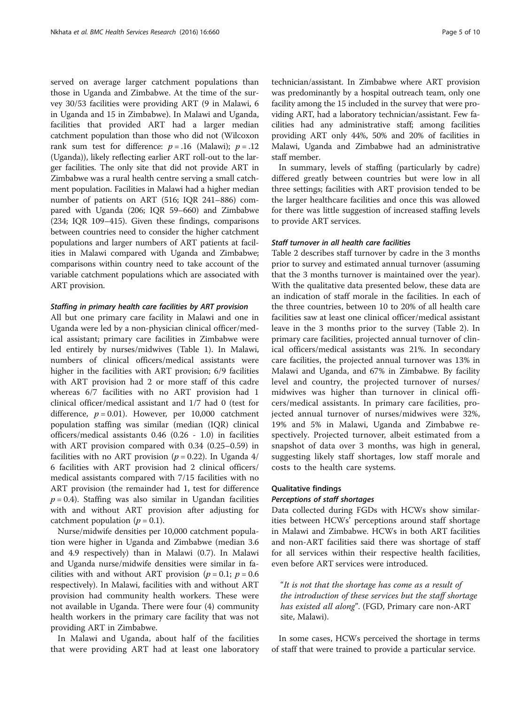served on average larger catchment populations than those in Uganda and Zimbabwe. At the time of the survey 30/53 facilities were providing ART (9 in Malawi, 6 in Uganda and 15 in Zimbabwe). In Malawi and Uganda, facilities that provided ART had a larger median catchment population than those who did not (Wilcoxon rank sum test for difference:  $p = .16$  (Malawi);  $p = .12$ (Uganda)), likely reflecting earlier ART roll-out to the larger facilities. The only site that did not provide ART in Zimbabwe was a rural health centre serving a small catchment population. Facilities in Malawi had a higher median number of patients on ART (516; IQR 241–886) compared with Uganda (206; IQR 59–660) and Zimbabwe (234; IQR 109–415). Given these findings, comparisons between countries need to consider the higher catchment populations and larger numbers of ART patients at facilities in Malawi compared with Uganda and Zimbabwe; comparisons within country need to take account of the variable catchment populations which are associated with ART provision.

## Staffing in primary health care facilities by ART provision

All but one primary care facility in Malawi and one in Uganda were led by a non-physician clinical officer/medical assistant; primary care facilities in Zimbabwe were led entirely by nurses/midwives (Table [1\)](#page-3-0). In Malawi, numbers of clinical officers/medical assistants were higher in the facilities with ART provision; 6/9 facilities with ART provision had 2 or more staff of this cadre whereas 6/7 facilities with no ART provision had 1 clinical officer/medical assistant and 1/7 had 0 (test for difference,  $p = 0.01$ ). However, per 10,000 catchment population staffing was similar (median (IQR) clinical officers/medical assistants 0.46 (0.26 - 1.0) in facilities with ART provision compared with 0.34 (0.25–0.59) in facilities with no ART provision ( $p = 0.22$ ). In Uganda 4/ 6 facilities with ART provision had 2 clinical officers/ medical assistants compared with 7/15 facilities with no ART provision (the remainder had 1, test for difference  $p = 0.4$ ). Staffing was also similar in Ugandan facilities with and without ART provision after adjusting for catchment population ( $p = 0.1$ ).

Nurse/midwife densities per 10,000 catchment population were higher in Uganda and Zimbabwe (median 3.6 and 4.9 respectively) than in Malawi (0.7). In Malawi and Uganda nurse/midwife densities were similar in facilities with and without ART provision ( $p = 0.1$ ;  $p = 0.6$ ) respectively). In Malawi, facilities with and without ART provision had community health workers. These were not available in Uganda. There were four (4) community health workers in the primary care facility that was not providing ART in Zimbabwe.

In Malawi and Uganda, about half of the facilities that were providing ART had at least one laboratory

technician/assistant. In Zimbabwe where ART provision was predominantly by a hospital outreach team, only one facility among the 15 included in the survey that were providing ART, had a laboratory technician/assistant. Few facilities had any administrative staff; among facilities providing ART only 44%, 50% and 20% of facilities in Malawi, Uganda and Zimbabwe had an administrative staff member.

In summary, levels of staffing (particularly by cadre) differed greatly between countries but were low in all three settings; facilities with ART provision tended to be the larger healthcare facilities and once this was allowed for there was little suggestion of increased staffing levels to provide ART services.

## Staff turnover in all health care facilities

Table [2](#page-5-0) describes staff turnover by cadre in the 3 months prior to survey and estimated annual turnover (assuming that the 3 months turnover is maintained over the year). With the qualitative data presented below, these data are an indication of staff morale in the facilities. In each of the three countries, between 10 to 20% of all health care facilities saw at least one clinical officer/medical assistant leave in the 3 months prior to the survey (Table [2](#page-5-0)). In primary care facilities, projected annual turnover of clinical officers/medical assistants was 21%. In secondary care facilities, the projected annual turnover was 13% in Malawi and Uganda, and 67% in Zimbabwe. By facility level and country, the projected turnover of nurses/ midwives was higher than turnover in clinical officers/medical assistants. In primary care facilities, projected annual turnover of nurses/midwives were 32%, 19% and 5% in Malawi, Uganda and Zimbabwe respectively. Projected turnover, albeit estimated from a snapshot of data over 3 months, was high in general, suggesting likely staff shortages, low staff morale and costs to the health care systems.

## Qualitative findings

## Perceptions of staff shortages

Data collected during FGDs with HCWs show similarities between HCWs' perceptions around staff shortage in Malawi and Zimbabwe. HCWs in both ART facilities and non-ART facilities said there was shortage of staff for all services within their respective health facilities, even before ART services were introduced.

"It is not that the shortage has come as a result of the introduction of these services but the staff shortage has existed all along". (FGD, Primary care non-ART site, Malawi).

In some cases, HCWs perceived the shortage in terms of staff that were trained to provide a particular service.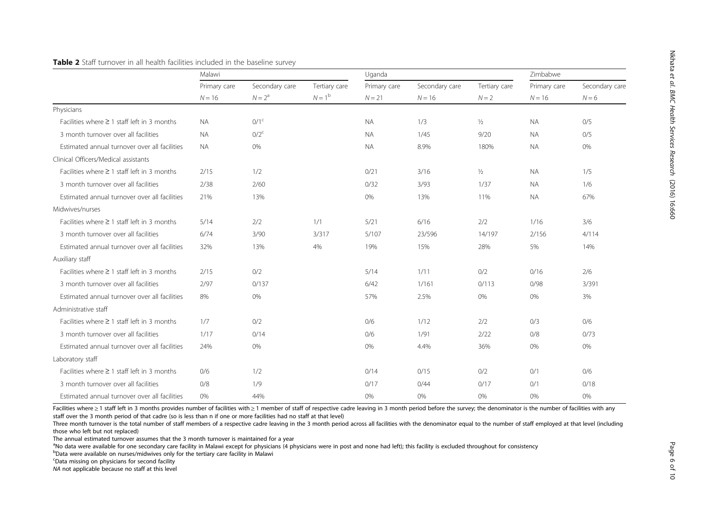|                                                  | Malawi                   |                            |                           | Uganda                   |                            |                          | Zimbabwe                 |                           |
|--------------------------------------------------|--------------------------|----------------------------|---------------------------|--------------------------|----------------------------|--------------------------|--------------------------|---------------------------|
|                                                  | Primary care<br>$N = 16$ | Secondary care<br>$N = 2a$ | Tertiary care<br>$N = 1b$ | Primary care<br>$N = 21$ | Secondary care<br>$N = 16$ | Tertiary care<br>$N = 2$ | Primary care<br>$N = 16$ | Secondary care<br>$N = 6$ |
|                                                  |                          |                            |                           |                          |                            |                          |                          |                           |
| Physicians                                       |                          |                            |                           |                          |                            |                          |                          |                           |
| Facilities where $\geq 1$ staff left in 3 months | <b>NA</b>                | 0/1 <sup>c</sup>           |                           | <b>NA</b>                | 1/3                        | $\frac{1}{2}$            | <b>NA</b>                | 0/5                       |
| 3 month turnover over all facilities             | <b>NA</b>                | $0/2^c$                    |                           | <b>NA</b>                | 1/45                       | 9/20                     | <b>NA</b>                | 0/5                       |
| Estimated annual turnover over all facilities    | <b>NA</b>                | 0%                         |                           | <b>NA</b>                | 8.9%                       | 180%                     | <b>NA</b>                | 0%                        |
| Clinical Officers/Medical assistants             |                          |                            |                           |                          |                            |                          |                          |                           |
| Facilities where $\geq 1$ staff left in 3 months | 2/15                     | 1/2                        |                           | 0/21                     | 3/16                       | $\frac{1}{2}$            | <b>NA</b>                | 1/5                       |
| 3 month turnover over all facilities             | 2/38                     | 2/60                       |                           | 0/32                     | 3/93                       | 1/37                     | <b>NA</b>                | 1/6                       |
| Estimated annual turnover over all facilities    | 21%                      | 13%                        |                           | 0%                       | 13%                        | 11%                      | <b>NA</b>                | 67%                       |
| Midwives/nurses                                  |                          |                            |                           |                          |                            |                          |                          |                           |
| Facilities where $\geq 1$ staff left in 3 months | 5/14                     | 2/2                        | 1/1                       | 5/21                     | 6/16                       | 2/2                      | 1/16                     | 3/6                       |
| 3 month turnover over all facilities             | 6/74                     | 3/90                       | 3/317                     | 5/107                    | 23/596                     | 14/197                   | 2/156                    | 4/114                     |
| Estimated annual turnover over all facilities    | 32%                      | 13%                        | 4%                        | 19%                      | 15%                        | 28%                      | 5%                       | 14%                       |
| Auxiliary staff                                  |                          |                            |                           |                          |                            |                          |                          |                           |
| Facilities where $\geq 1$ staff left in 3 months | 2/15                     | 0/2                        |                           | 5/14                     | 1/11                       | 0/2                      | 0/16                     | 2/6                       |
| 3 month turnover over all facilities             | 2/97                     | 0/137                      |                           | 6/42                     | 1/161                      | 0/113                    | 0/98                     | 3/391                     |
| Estimated annual turnover over all facilities    | 8%                       | 0%                         |                           | 57%                      | 2.5%                       | 0%                       | 0%                       | 3%                        |
| Administrative staff                             |                          |                            |                           |                          |                            |                          |                          |                           |
| Facilities where $\geq 1$ staff left in 3 months | 1/7                      | 0/2                        |                           | 0/6                      | 1/12                       | 2/2                      | 0/3                      | 0/6                       |
| 3 month turnover over all facilities             | 1/17                     | 0/14                       |                           | 0/6                      | 1/91                       | 2/22                     | 0/8                      | 0/73                      |
| Estimated annual turnover over all facilities    | 24%                      | 0%                         |                           | 0%                       | 4.4%                       | 36%                      | 0%                       | 0%                        |
| Laboratory staff                                 |                          |                            |                           |                          |                            |                          |                          |                           |
| Facilities where $\geq 1$ staff left in 3 months | 0/6                      | 1/2                        |                           | 0/14                     | 0/15                       | 0/2                      | 0/1                      | 0/6                       |
| 3 month turnover over all facilities             | 0/8                      | 1/9                        |                           | 0/17                     | 0/44                       | 0/17                     | 0/1                      | 0/18                      |
| Estimated annual turnover over all facilities    | 0%                       | 44%                        |                           | 0%                       | 0%                         | 0%                       | 0%                       | 0%                        |

### <span id="page-5-0"></span>Table 2 Staff turnover in all health facilities included in the baseline survey

Facilities where ≥1 staff left in 3 months provides number of facilities with ≥1 member of staff of respective cadre leaving in 3 month period before the survey; the denominator is the number of facilities with any staff over the 3 month period of that cadre (so is less than n if one or more facilities had no staff at that level)

Three month turnover is the total number of staff members of a respective cadre leaving in the 3 month period across all facilities with the denominator equal to the number of staff employed at that level (including those who left but not replaced)

The annual estimated turnover assumes that the 3 month turnover is maintained for a year

<sup>a</sup>No data were available for one secondary care facility in Malawi except for physicians (4 physicians were in post and none had left); this facility is excluded throughout for consistency<br>PData were available on purses/m

<sup>b</sup>Data were available on nurses/midwives only for the tertiary care facility in Malawi

<sup>c</sup>Data missing on physicians for second facility

NA not applicable because no staff at this level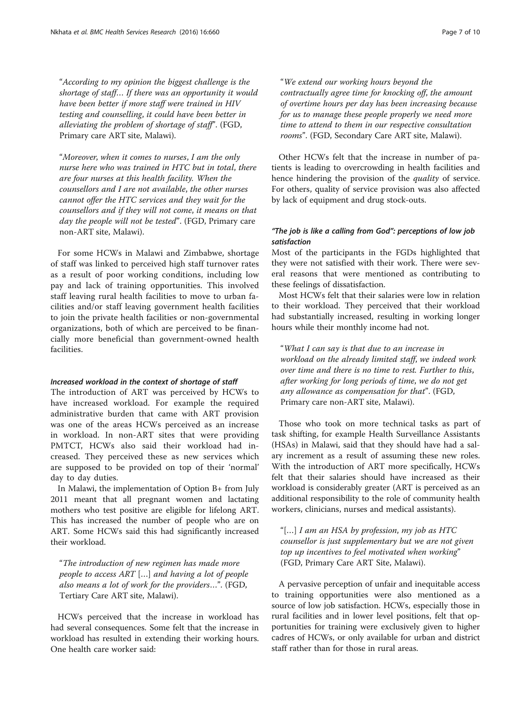"According to my opinion the biggest challenge is the shortage of staff… If there was an opportunity it would have been better if more staff were trained in HIV testing and counselling, it could have been better in alleviating the problem of shortage of staff". (FGD, Primary care ART site, Malawi).

"Moreover, when it comes to nurses, I am the only nurse here who was trained in HTC but in total, there are four nurses at this health facility. When the counsellors and I are not available, the other nurses cannot offer the HTC services and they wait for the counsellors and if they will not come, it means on that day the people will not be tested". (FGD, Primary care non-ART site, Malawi).

For some HCWs in Malawi and Zimbabwe, shortage of staff was linked to perceived high staff turnover rates as a result of poor working conditions, including low pay and lack of training opportunities. This involved staff leaving rural health facilities to move to urban facilities and/or staff leaving government health facilities to join the private health facilities or non-governmental organizations, both of which are perceived to be financially more beneficial than government-owned health facilities.

## Increased workload in the context of shortage of staff

The introduction of ART was perceived by HCWs to have increased workload. For example the required administrative burden that came with ART provision was one of the areas HCWs perceived as an increase in workload. In non-ART sites that were providing PMTCT, HCWs also said their workload had increased. They perceived these as new services which are supposed to be provided on top of their 'normal' day to day duties.

In Malawi, the implementation of Option B+ from July 2011 meant that all pregnant women and lactating mothers who test positive are eligible for lifelong ART. This has increased the number of people who are on ART. Some HCWs said this had significantly increased their workload.

"The introduction of new regimen has made more people to access ART […] and having a lot of people also means a lot of work for the providers…". (FGD, Tertiary Care ART site, Malawi).

HCWs perceived that the increase in workload has had several consequences. Some felt that the increase in workload has resulted in extending their working hours. One health care worker said:

"We extend our working hours beyond the contractually agree time for knocking off, the amount of overtime hours per day has been increasing because for us to manage these people properly we need more time to attend to them in our respective consultation rooms". (FGD, Secondary Care ART site, Malawi).

Other HCWs felt that the increase in number of patients is leading to overcrowding in health facilities and hence hindering the provision of the quality of service. For others, quality of service provision was also affected by lack of equipment and drug stock-outs.

## "The job is like a calling from God": perceptions of low job satisfaction

Most of the participants in the FGDs highlighted that they were not satisfied with their work. There were several reasons that were mentioned as contributing to these feelings of dissatisfaction.

Most HCWs felt that their salaries were low in relation to their workload. They perceived that their workload had substantially increased, resulting in working longer hours while their monthly income had not.

"What I can say is that due to an increase in workload on the already limited staff, we indeed work over time and there is no time to rest. Further to this, after working for long periods of time, we do not get any allowance as compensation for that". (FGD, Primary care non-ART site, Malawi).

Those who took on more technical tasks as part of task shifting, for example Health Surveillance Assistants (HSAs) in Malawi, said that they should have had a salary increment as a result of assuming these new roles. With the introduction of ART more specifically, HCWs felt that their salaries should have increased as their workload is considerably greater (ART is perceived as an additional responsibility to the role of community health workers, clinicians, nurses and medical assistants).

"[...] I am an HSA by profession, my job as HTC counsellor is just supplementary but we are not given top up incentives to feel motivated when working" (FGD, Primary Care ART Site, Malawi).

A pervasive perception of unfair and inequitable access to training opportunities were also mentioned as a source of low job satisfaction. HCWs, especially those in rural facilities and in lower level positions, felt that opportunities for training were exclusively given to higher cadres of HCWs, or only available for urban and district staff rather than for those in rural areas.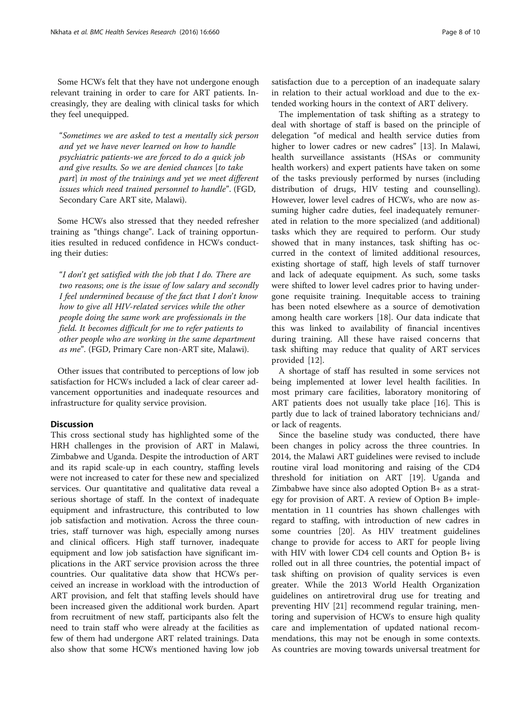Some HCWs felt that they have not undergone enough relevant training in order to care for ART patients. Increasingly, they are dealing with clinical tasks for which they feel unequipped.

"Sometimes we are asked to test a mentally sick person and yet we have never learned on how to handle psychiatric patients-we are forced to do a quick job and give results. So we are denied chances [to take part] in most of the trainings and yet we meet different issues which need trained personnel to handle". (FGD, Secondary Care ART site, Malawi).

Some HCWs also stressed that they needed refresher training as "things change". Lack of training opportunities resulted in reduced confidence in HCWs conducting their duties:

"I don't get satisfied with the job that I do. There are two reasons; one is the issue of low salary and secondly I feel undermined because of the fact that I don't know how to give all HIV-related services while the other people doing the same work are professionals in the field. It becomes difficult for me to refer patients to other people who are working in the same department as me". (FGD, Primary Care non-ART site, Malawi).

Other issues that contributed to perceptions of low job satisfaction for HCWs included a lack of clear career advancement opportunities and inadequate resources and infrastructure for quality service provision.

## **Discussion**

This cross sectional study has highlighted some of the HRH challenges in the provision of ART in Malawi, Zimbabwe and Uganda. Despite the introduction of ART and its rapid scale-up in each country, staffing levels were not increased to cater for these new and specialized services. Our quantitative and qualitative data reveal a serious shortage of staff. In the context of inadequate equipment and infrastructure, this contributed to low job satisfaction and motivation. Across the three countries, staff turnover was high, especially among nurses and clinical officers. High staff turnover, inadequate equipment and low job satisfaction have significant implications in the ART service provision across the three countries. Our qualitative data show that HCWs perceived an increase in workload with the introduction of ART provision, and felt that staffing levels should have been increased given the additional work burden. Apart from recruitment of new staff, participants also felt the need to train staff who were already at the facilities as few of them had undergone ART related trainings. Data also show that some HCWs mentioned having low job in relation to their actual workload and due to the ex-

tended working hours in the context of ART delivery. The implementation of task shifting as a strategy to deal with shortage of staff is based on the principle of delegation "of medical and health service duties from higher to lower cadres or new cadres" [\[13](#page-9-0)]. In Malawi, health surveillance assistants (HSAs or community health workers) and expert patients have taken on some of the tasks previously performed by nurses (including distribution of drugs, HIV testing and counselling). However, lower level cadres of HCWs, who are now assuming higher cadre duties, feel inadequately remunerated in relation to the more specialized (and additional) tasks which they are required to perform. Our study showed that in many instances, task shifting has occurred in the context of limited additional resources, existing shortage of staff, high levels of staff turnover and lack of adequate equipment. As such, some tasks were shifted to lower level cadres prior to having undergone requisite training. Inequitable access to training has been noted elsewhere as a source of demotivation among health care workers [[18\]](#page-9-0). Our data indicate that this was linked to availability of financial incentives during training. All these have raised concerns that task shifting may reduce that quality of ART services provided [\[12\]](#page-9-0).

A shortage of staff has resulted in some services not being implemented at lower level health facilities. In most primary care facilities, laboratory monitoring of ART patients does not usually take place [[16\]](#page-9-0). This is partly due to lack of trained laboratory technicians and/ or lack of reagents.

Since the baseline study was conducted, there have been changes in policy across the three countries. In 2014, the Malawi ART guidelines were revised to include routine viral load monitoring and raising of the CD4 threshold for initiation on ART [\[19](#page-9-0)]. Uganda and Zimbabwe have since also adopted Option B+ as a strategy for provision of ART. A review of Option B+ implementation in 11 countries has shown challenges with regard to staffing, with introduction of new cadres in some countries [[20\]](#page-9-0). As HIV treatment guidelines change to provide for access to ART for people living with HIV with lower CD4 cell counts and Option B+ is rolled out in all three countries, the potential impact of task shifting on provision of quality services is even greater. While the 2013 World Health Organization guidelines on antiretroviral drug use for treating and preventing HIV [[21](#page-9-0)] recommend regular training, mentoring and supervision of HCWs to ensure high quality care and implementation of updated national recommendations, this may not be enough in some contexts. As countries are moving towards universal treatment for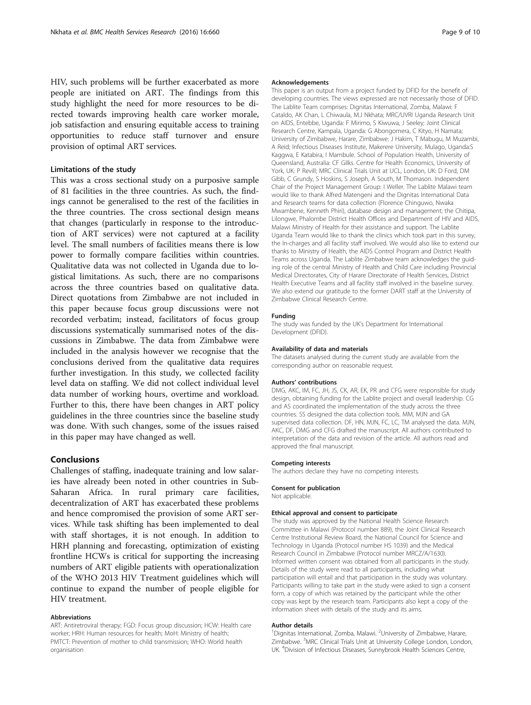HIV, such problems will be further exacerbated as more people are initiated on ART. The findings from this study highlight the need for more resources to be directed towards improving health care worker morale, job satisfaction and ensuring equitable access to training opportunities to reduce staff turnover and ensure provision of optimal ART services.

## Limitations of the study

This was a cross sectional study on a purposive sample of 81 facilities in the three countries. As such, the findings cannot be generalised to the rest of the facilities in the three countries. The cross sectional design means that changes (particularly in response to the introduction of ART services) were not captured at a facility level. The small numbers of facilities means there is low power to formally compare facilities within countries. Qualitative data was not collected in Uganda due to logistical limitations. As such, there are no comparisons across the three countries based on qualitative data. Direct quotations from Zimbabwe are not included in this paper because focus group discussions were not recorded verbatim; instead, facilitators of focus group discussions systematically summarised notes of the discussions in Zimbabwe. The data from Zimbabwe were included in the analysis however we recognise that the conclusions derived from the qualitative data requires further investigation. In this study, we collected facility level data on staffing. We did not collect individual level data number of working hours, overtime and workload. Further to this, there have been changes in ART policy guidelines in the three countries since the baseline study was done. With such changes, some of the issues raised in this paper may have changed as well.

## Conclusions

Challenges of staffing, inadequate training and low salaries have already been noted in other countries in Sub-Saharan Africa. In rural primary care facilities, decentralization of ART has exacerbated these problems and hence compromised the provision of some ART services. While task shifting has been implemented to deal with staff shortages, it is not enough. In addition to HRH planning and forecasting, optimization of existing frontline HCWs is critical for supporting the increasing numbers of ART eligible patients with operationalization of the WHO 2013 HIV Treatment guidelines which will continue to expand the number of people eligible for HIV treatment.

#### Abbreviations

ART: Antiretroviral therapy; FGD: Focus group discussion; HCW: Health care worker; HRH: Human resources for health; MoH: Ministry of health; PMTCT: Prevention of mother to child transmission; WHO: World health organisation

#### Acknowledgements

This paper is an output from a project funded by DFID for the benefit of developing countries. The views expressed are not necessarily those of DFID. The Lablite Team comprises: Dignitas International, Zomba, Malawi: F Cataldo, AK Chan, L Chiwaula, M.J Nkhata; MRC/UVRI Uganda Research Unit on AIDS, Entebbe, Uganda: F Mirimo, S Kiwuwa, J Seeley; Joint Clinical Research Centre, Kampala, Uganda: G Abongomera, C Kityo, H Namata; University of Zimbabwe, Harare, Zimbabwe: J Hakim, T Mabugu, M Muzambi, A Reid; Infectious Diseases Institute, Makerere University, Mulago, Uganda:S Kaggwa, E Katabira, I Mambule. School of Population Health, University of Queensland, Australia: CF Gilks. Centre for Health Economics, University of York, UK: P Revill; MRC Clinical Trials Unit at UCL, London, UK: D Ford, DM Gibb, C Grundy, S Hoskins, S Joseph, A South, M Thomason. Independent Chair of the Project Management Group: I Weller. The Lablite Malawi team would like to thank Alfred Matengeni and the Dignitas International Data and Research teams for data collection (Florence Chinguwo, Nwaka Mwambene, Kenneth Phiri), database design and management; the Chitipa, Lilongwe, Phalombe District Health Offices and Department of HIV and AIDS, Malawi Ministry of Health for their assistance and support. The Lablite Uganda Team would like to thank the clinics which took part in this survey, the In-charges and all facility staff involved. We would also like to extend our thanks to Ministry of Health, the AIDS Control Program and District Health Teams across Uganda. The Lablite Zimbabwe team acknowledges the guiding role of the central Ministry of Health and Child Care including Provincial Medical Directorates, City of Harare Directorate of Health Services, District Health Executive Teams and all facility staff involved in the baseline survey. We also extend our gratitude to the former DART staff at the University of Zimbabwe Clinical Research Centre.

## Funding

The study was funded by the UK's Department for International Development (DFID).

#### Availability of data and materials

The datasets analysed during the current study are available from the corresponding author on reasonable request.

#### Authors' contributions

DMG, AKC, IM, FC, JH, JS, CK, AR, EK, PR and CFG were responsible for study design, obtaining funding for the Lablite project and overall leadership. CG and AS coordinated the implementation of the study across the three countries. SS designed the data collection tools. MM, MJN and GA supervised data collection. DF, HN, MJN, FC, LC, TM analysed the data. MJN, AKC, DF, DMG and CFG drafted the manuscript. All authors contributed to interpretation of the data and revision of the article. All authors read and approved the final manuscript.

#### Competing interests

The authors declare they have no competing interests.

#### Consent for publication

Not applicable.

#### Ethical approval and consent to participate

The study was approved by the National Health Science Research Committee in Malawi (Protocol number 889), the Joint Clinical Research Centre Institutional Review Board, the National Council for Science and Technology in Uganda (Protocol number HS 1039) and the Medical Research Council in Zimbabwe (Protocol number MRCZ/A/1630). Informed written consent was obtained from all participants in the study. Details of the study were read to all participants, including what participation will entail and that participation in the study was voluntary. Participants willing to take part in the study were asked to sign a consent form, a copy of which was retained by the participant while the other copy was kept by the research team. Participants also kept a copy of the information sheet with details of the study and its aims.

#### Author details

<sup>1</sup>Dignitas International, Zomba, Malawi. <sup>2</sup>University of Zimbabwe, Harare, Zimbabwe. <sup>3</sup>MRC Clinical Trials Unit at University College London, London, UK. <sup>4</sup> Division of Infectious Diseases, Sunnybrook Health Sciences Centre,